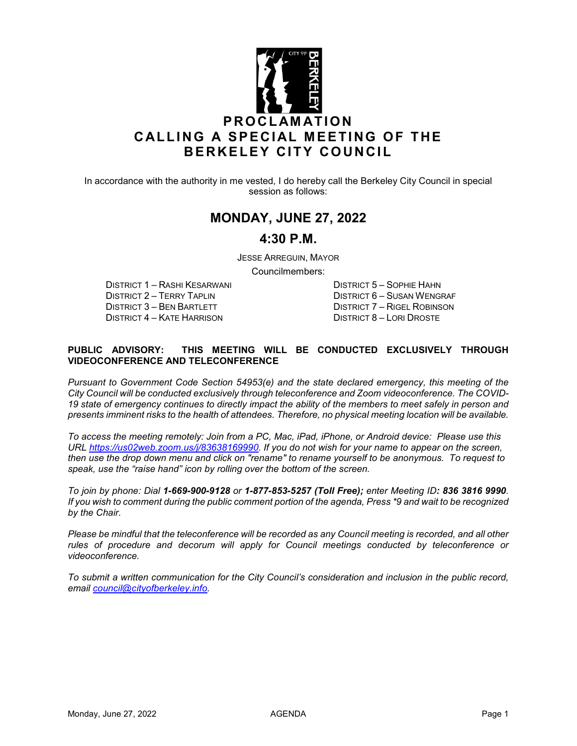

In accordance with the authority in me vested, I do hereby call the Berkeley City Council in special session as follows:

# **MONDAY, JUNE 27, 2022**

## **4:30 P.M.**

JESSE ARREGUIN, MAYOR

Councilmembers:

DISTRICT 1 – RASHI KESARWANI DISTRICT 5 – SOPHIE HAHN DISTRICT 3 – BEN BARTLETT DISTRICT 7 – RIGEL ROBINSON<br>DISTRICT 4 – KATE HARRISON DISTRICT 8 – LORI DROSTE DISTRICT 4 – KATE HARRISON

DISTRICT 6 – SUSAN WENGRAF

#### **PUBLIC ADVISORY: THIS MEETING WILL BE CONDUCTED EXCLUSIVELY THROUGH VIDEOCONFERENCE AND TELECONFERENCE**

*Pursuant to Government Code Section 54953(e) and the state declared emergency, this meeting of the City Council will be conducted exclusively through teleconference and Zoom videoconference. The COVID-19 state of emergency continues to directly impact the ability of the members to meet safely in person and presents imminent risks to the health of attendees. Therefore, no physical meeting location will be available.* 

*To access the meeting remotely: Join from a PC, Mac, iPad, iPhone, or Android device: Please use this URL [https://us02web.zoom.us/j/83638169990.](https://us02web.zoom.us/j/83638169990) If you do not wish for your name to appear on the screen, then use the drop down menu and click on "rename" to rename yourself to be anonymous. To request to speak, use the "raise hand" icon by rolling over the bottom of the screen.* 

*To join by phone: Dial 1-669-900-9128 or 1-877-853-5257 (Toll Free); enter Meeting ID: 836 3816 9990*. *If you wish to comment during the public comment portion of the agenda, Press \*9 and wait to be recognized by the Chair.* 

*Please be mindful that the teleconference will be recorded as any Council meeting is recorded, and all other*  rules of procedure and decorum will apply for Council meetings conducted by teleconference or *videoconference.*

*To submit a written communication for the City Council's consideration and inclusion in the public record, email [council@cityofberkeley.info.](mailto:council@cityofberkeley.info)*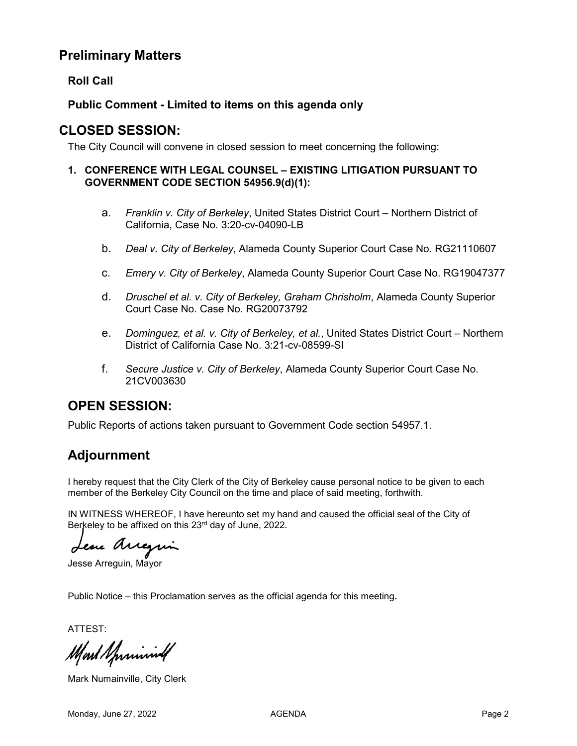# **Preliminary Matters**

### **Roll Call**

### **Public Comment - Limited to items on this agenda only**

## **CLOSED SESSION:**

The City Council will convene in closed session to meet concerning the following:

#### **1. CONFERENCE WITH LEGAL COUNSEL – EXISTING LITIGATION PURSUANT TO GOVERNMENT CODE SECTION 54956.9(d)(1):**

- a. *Franklin v. City of Berkeley*, United States District Court Northern District of California, Case No. 3:20-cv-04090-LB
- b. *Deal v. City of Berkeley*, Alameda County Superior Court Case No. RG21110607
- c. *Emery v. City of Berkeley*, Alameda County Superior Court Case No. RG19047377
- d. *Druschel et al. v. City of Berkeley, Graham Chrisholm*, Alameda County Superior Court Case No. Case No. RG20073792
- e. *Dominguez, et al. v. City of Berkeley, et al.*, United States District Court Northern District of California Case No. 3:21-cv-08599-SI
- f. *Secure Justice v. City of Berkeley*, Alameda County Superior Court Case No. 21CV003630

## **OPEN SESSION:**

Public Reports of actions taken pursuant to Government Code section 54957.1.

# **Adjournment**

I hereby request that the City Clerk of the City of Berkeley cause personal notice to be given to each member of the Berkeley City Council on the time and place of said meeting, forthwith.

IN WITNESS WHEREOF, I have hereunto set my hand and caused the official seal of the City of Berkeley to be affixed on this 23<sup>rd</sup> day of June, 2022.

ese Arregui

Jesse Arreguin, Mayor

Public Notice – this Proclamation serves as the official agenda for this meeting**.**

ATTEST:

Mart Sprining

Mark Numainville, City Clerk